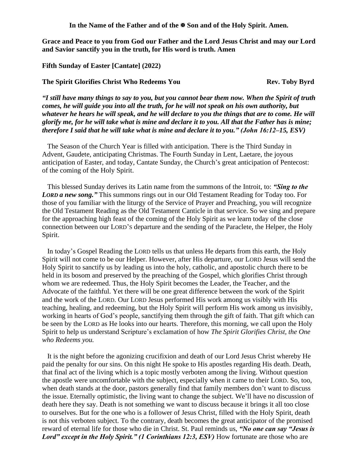In the Name of the Father and of the  $\mathbb{F}$  Son and of the Holy Spirit. Amen.

**Grace and Peace to you from God our Father and the Lord Jesus Christ and may our Lord and Savior sanctify you in the truth, for His word is truth. Amen**

## **Fifth Sunday of Easter [Cantate] (2022)**

## **The Spirit Glorifies Christ Who Redeems You Rev. Toby Byrd**

*"I still have many things to say to you, but you cannot bear them now. When the Spirit of truth comes, he will guide you into all the truth, for he will not speak on his own authority, but whatever he hears he will speak, and he will declare to you the things that are to come. He will glorify me, for he will take what is mine and declare it to you. All that the Father has is mine; therefore I said that he will take what is mine and declare it to you." (John 16:12–15, ESV)* 

The Season of the Church Year is filled with anticipation. There is the Third Sunday in Advent, Gaudete, anticipating Christmas. The Fourth Sunday in Lent, Laetare, the joyous anticipation of Easter, and today, Cantate Sunday, the Church's great anticipation of Pentecost: of the coming of the Holy Spirit.

This blessed Sunday derives its Latin name from the summons of the Introit, to: *"Sing to the LORD a new song.*" This summons rings out in our Old Testament Reading for Today too. For those of you familiar with the liturgy of the Service of Prayer and Preaching, you will recognize the Old Testament Reading as the Old Testament Canticle in that service. So we sing and prepare for the approaching high feast of the coming of the Holy Spirit as we learn today of the close connection between our LORD'S departure and the sending of the Paraclete, the Helper, the Holy Spirit.

In today's Gospel Reading the LORD tells us that unless He departs from this earth, the Holy Spirit will not come to be our Helper. However, after His departure, our LORD Jesus will send the Holy Spirit to sanctify us by leading us into the holy, catholic, and apostolic church there to be held in its bosom and preserved by the preaching of the Gospel, which glorifies Christ through whom we are redeemed. Thus, the Holy Spirit becomes the Leader, the Teacher, and the Advocate of the faithful. Yet there will be one great difference between the work of the Spirit and the work of the LORD. Our LORD Jesus performed His work among us visibly with His teaching, healing, and redeeming, but the Holy Spirit will perform His work among us invisibly, working in hearts of God's people, sanctifying them through the gift of faith. That gift which can be seen by the LORD as He looks into our hearts. Therefore, this morning, we call upon the Holy Spirit to help us understand Scripture's exclamation of how *The Spirit Glorifies Christ, the One who Redeems you.*

It is the night before the agonizing crucifixion and death of our Lord Jesus Christ whereby He paid the penalty for our sins. On this night He spoke to His apostles regarding His death. Death, that final act of the living which is a topic mostly verboten among the living. Without question the apostle were uncomfortable with the subject, especially when it came to their LORD. So, too, when death stands at the door, pastors generally find that family members don't want to discuss the issue. Eternally optimistic, the living want to change the subject. We'll have no discussion of death here they say. Death is not something we want to discuss because it brings it all too close to ourselves. But for the one who is a follower of Jesus Christ, filled with the Holy Spirit, death is not this verboten subject. To the contrary, death becomes the great anticipator of the promised reward of eternal life for those who die in Christ. St. Paul reminds us, *"No one can say "Jesus is Lord" except in the Holy Spirit." (1 Corinthians 12:3, ESV)* How fortunate are those who are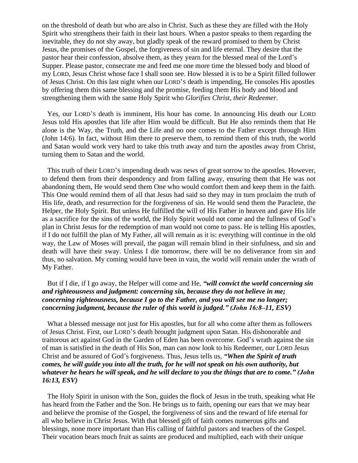on the threshold of death but who are also in Christ. Such as these they are filled with the Holy Spirit who strengthens their faith in their last hours. When a pastor speaks to them regarding the inevitable, they do not shy away, but gladly speak of the reward promised to them by Christ Jesus, the promises of the Gospel, the forgiveness of sin and life eternal. They desire that the pastor hear their confession, absolve them, as they yearn for the blessed meal of the Lord's Supper. Please pastor, consecrate me and feed me one more time the blessed body and blood of my LORD, Jesus Christ whose face I shall soon see. How blessed it is to be a Spirit filled follower of Jesus Christ. On this last night when our LORD'S death is impending, He consoles His apostles by offering them this same blessing and the promise, feeding them His body and blood and strengthening them with the same Holy Spirit who *Glorifies Christ, their Redeemer.*

Yes, our LORD'S death is imminent, His hour has come. In announcing His death our LORD Jesus told His apostles that life after Him would be difficult. But He also reminds them that He alone is the Way, the Truth, and the Life and no one comes to the Father except through Him (John 14:6). In fact, without Him there to preserve them, to remind them of this truth, the world and Satan would work very hard to take this truth away and turn the apostles away from Christ, turning them to Satan and the world.

This truth of their LORD'S impending death was news of great sorrow to the apostles. However, to defend them from their despondency and from falling away, ensuring them that He was not abandoning them, He would send them One who would comfort them and keep them in the faith. This One would remind them of all that Jesus had said so they may in turn proclaim the truth of His life, death, and resurrection for the forgiveness of sin. He would send them the Paraclete, the Helper, the Holy Spirit. But unless He fulfilled the will of His Father in heaven and gave His life as a sacrifice for the sins of the world, the Holy Spirit would not come and the fullness of God's plan in Christ Jesus for the redemption of man would not come to pass. He is telling His apostles, if I do not fulfill the plan of My Father, all will remain as it is: everything will continue in the old way, the Law of Moses will prevail, the pagan will remain blind in their sinfulness, and sin and death will have their sway. Unless I die tomorrow, there will be no deliverance from sin and thus, no salvation. My coming would have been in vain, the world will remain under the wrath of My Father.

## But if I die, if I go away, the Helper will come and He, *"will convict the world concerning sin and righteousness and judgment: concerning sin, because they do not believe in me; concerning righteousness, because I go to the Father, and you will see me no longer; concerning judgment, because the ruler of this world is judged." (John 16:8–11, ESV)*

What a blessed message not just for His apostles, but for all who come after them as followers of Jesus Christ. First, our LORD'S death brought judgment upon Satan. His dishonorable and traitorous act against God in the Garden of Eden has been overcome. God's wrath against the sin of man is satisfied in the death of His Son, man can now look to his Redeemer, our LORD Jesus Christ and be assured of God's forgiveness. Thus, Jesus tells us, *"When the Spirit of truth comes, he will guide you into all the truth, for he will not speak on his own authority, but whatever he hears he will speak, and he will declare to you the things that are to come." (John 16:13, ESV)* 

The Holy Spirit in unison with the Son, guides the flock of Jesus in the truth, speaking what He has heard from the Father and the Son. He brings us to faith, opening our ears that we may hear and believe the promise of the Gospel, the forgiveness of sins and the reward of life eternal for all who believe in Christ Jesus. With that blessed gift of faith comes numerous gifts and blessings, none more important than His calling of faithful pastors and teachers of the Gospel. Their vocation bears much fruit as saints are produced and multiplied, each with their unique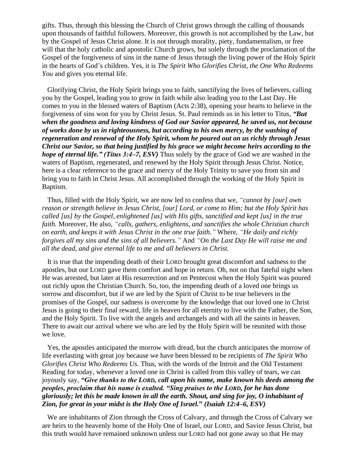gifts. Thus, through this blessing the Church of Christ grows through the calling of thousands upon thousands of faithful followers. Moreover, this growth is not accomplished by the Law, but by the Gospel of Jesus Christ alone. It is not through morality, piety, fundamentalism, or free will that the holy catholic and apostolic Church grows, but solely through the proclamation of the Gospel of the forgiveness of sins in the name of Jesus through the living power of the Holy Spirit in the hearts of God's children. Yes, it is *The Spirit Who Glorifies Christ, the One Who Redeems You* and gives you eternal life.

Glorifying Christ, the Holy Spirit brings you to faith, sanctifying the lives of believers, calling you by the Gospel, leading you to grow in faith while also leading you to the Last Day. He comes to you in the blessed waters of Baptism (Acts 2:38), opening your hearts to believe in the forgiveness of sins won for you by Christ Jesus. St. Paul reminds us in his letter to Titus, *"But when the goodness and loving kindness of God our Savior appeared, he saved us, not because of works done by us in righteousness, but according to his own mercy, by the washing of regeneration and renewal of the Holy Spirit, whom he poured out on us richly through Jesus Christ our Savior, so that being justified by his grace we might become heirs according to the hope of eternal life." (Titus 3:4–7, ESV)* Thus solely by the grace of God we are washed in the waters of Baptism, regenerated, and renewed by the Holy Spirit through Jesus Christ. Notice, here is a clear reference to the grace and mercy of the Holy Trinity to save you from sin and bring you to faith in Christ Jesus. All accomplished through the working of the Holy Spirit in Baptism.

Thus, filled with the Holy Spirit, we are now led to confess that we, *"cannot by [our] own reason or strength believe in Jesus Christ, [our] Lord, or come to Him; but the Holy Spirit has called [us] by the Gospel, enlightened [us] with His gifts, sanctified and kept [us] in the true faith.* Moreover, He also, *"calls, gathers, enlightens, and sanctifies the whole Christian church on earth, and keeps it with Jesus Christ in the one true faith."* Where, *"He daily and richly forgives all my sins and the sins of all believers."* And *"On the Last Day He will raise me and all the dead, and give eternal life to me and all believers in Christ.*

It is true that the impending death of their LORD brought great discomfort and sadness to the apostles, but our LORD gave them comfort and hope in return. Oh, not on that fateful night when He was arrested, but later at His resurrection and on Pentecost when the Holy Spirit was poured out richly upon the Christian Church. So, too, the impending death of a loved one brings us sorrow and discomfort, but if we are led by the Spirit of Christ to be true believers in the promises of the Gospel, our sadness is overcome by the knowledge that our loved one in Christ Jesus is going to their final reward, life in heaven for all eternity to live with the Father, the Son, and the Holy Spirit. To live with the angels and archangels and with all the saints in heaven. There to await our arrival where we who are led by the Holy Spirit will be reunited with those we love.

Yes, the apostles anticipated the morrow with dread, but the church anticipates the morrow of life everlasting with great joy because we have been blessed to be recipients of *The Spirit Who Glorifies Christ Who Redeems Us.* Thus, with the words of the Introit and the Old Testament Reading for today, whenever a loved one in Christ is called from this valley of tears, we can joyously say, *"Give thanks to the LORD, call upon his name, make known his deeds among the peoples, proclaim that his name is exalted. "Sing praises to the LORD, for he has done gloriously; let this be made known in all the earth. Shout, and sing for joy, O inhabitant of Zion, for great in your midst is the Holy One of Israel.***"** *(Isaiah 12:4–6, ESV)* 

We are inhabitants of Zion through the Cross of Calvary, and through the Cross of Calvary we are heirs to the heavenly home of the Holy One of Israel, our LORD, and Savior Jesus Christ, but this truth would have remained unknown unless our LORD had not gone away so that He may